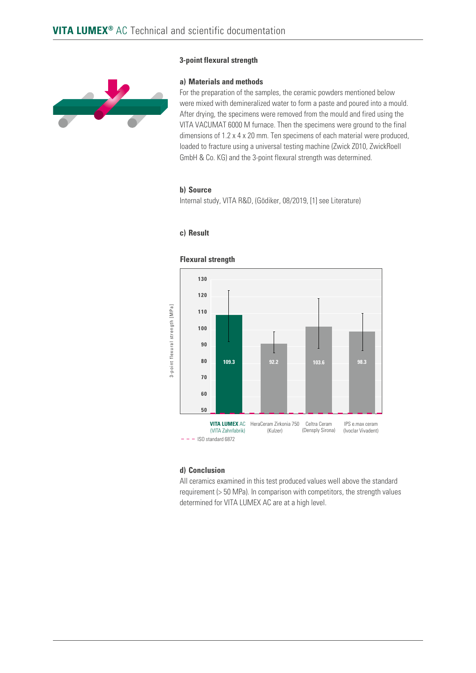

## **3-point flexural strength**

#### **a) Materials and methods**

For the preparation of the samples, the ceramic powders mentioned below were mixed with demineralized water to form a paste and poured into a mould. After drying, the specimens were removed from the mould and fired using the VITA VACUMAT 6000 M furnace. Then the specimens were ground to the final dimensions of 1.2 x 4 x 20 mm. Ten specimens of each material were produced, loaded to fracture using a universal testing machine (Zwick Z010, ZwickRoell GmbH & Co. KG) and the 3-point flexural strength was determined.

# **b) Source**

Internal study, VITA R&D, (Gödiker, 08/2019, [1] see Literature)

## **c) Result**



#### **d) Conclusion**

All ceramics examined in this test produced values well above the standard requirement (> 50 MPa). In comparison with competitors, the strength values determined for VITA LUMEX AC are at a high level.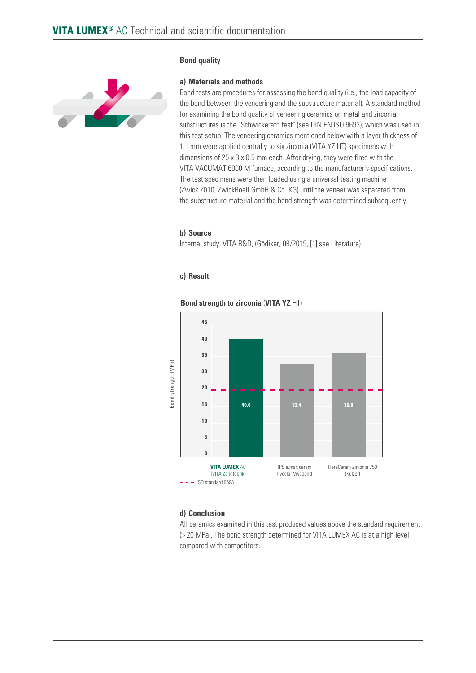

## **Bond quality**

#### **a) Materials and methods**

Bond tests are procedures for assessing the bond quality (i.e., the load capacity of the bond between the veneering and the substructure material). A standard method for examining the bond quality of veneering ceramics on metal and zirconia substructures is the "Schwickerath test" (see DIN EN ISO 9693), which was used in this test setup. The veneering ceramics mentioned below with a layer thickness of 1.1 mm were applied centrally to six zirconia (VITA YZ HT) specimens with dimensions of 25 x 3 x 0.5 mm each. After drying, they were fired with the VITA VACUMAT 6000 M furnace, according to the manufacturer's specifications. The test specimens were then loaded using a universal testing machine (Zwick Z010, ZwickRoell GmbH & Co. KG) until the veneer was separated from the substructure material and the bond strength was determined subsequently.

#### **b) Source**

Internal study, VITA R&D, (Gödiker, 08/2019, [1] see Literature)

## **c) Result**



#### **Bond strength to zirconia** (**VITA YZ** HT)

## **d) Conclusion**

All ceramics examined in this test produced values above the standard requirement (> 20 MPa). The bond strength determined for VITA LUMEX AC is at a high level, compared with competitors.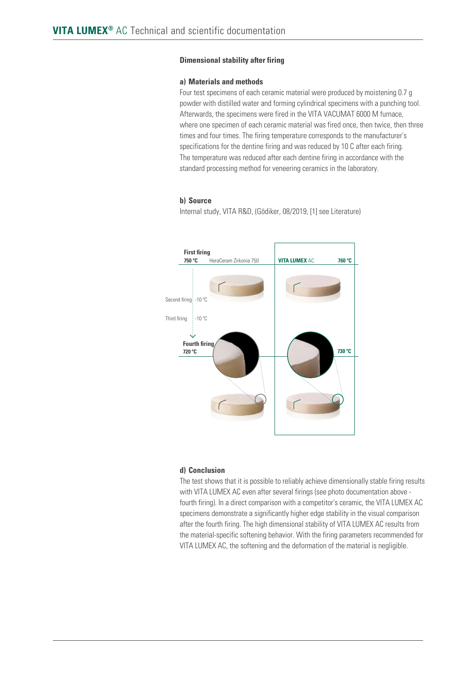# **Dimensional stability after firing**

## **a) Materials and methods**

Four test specimens of each ceramic material were produced by moistening 0.7 g powder with distilled water and forming cylindrical specimens with a punching tool. Afterwards, the specimens were fired in the VITA VACUMAT 6000 M furnace, where one specimen of each ceramic material was fired once, then twice, then three times and four times. The firing temperature corresponds to the manufacturer's specifications for the dentine firing and was reduced by 10 C after each firing. The temperature was reduced after each dentine firing in accordance with the standard processing method for veneering ceramics in the laboratory.

### **b) Source**

Internal study, VITA R&D, (Gödiker, 08/2019, [1] see Literature)



#### **d) Conclusion**

The test shows that it is possible to reliably achieve dimensionally stable firing results with VITA LUMEX AC even after several firings (see photo documentation above fourth firing). In a direct comparison with a competitor's ceramic, the VITA LUMEX AC specimens demonstrate a significantly higher edge stability in the visual comparison after the fourth firing. The high dimensional stability of VITA LUMEX AC results from the material-specific softening behavior. With the firing parameters recommended for VITA LUMEX AC, the softening and the deformation of the material is negligible.